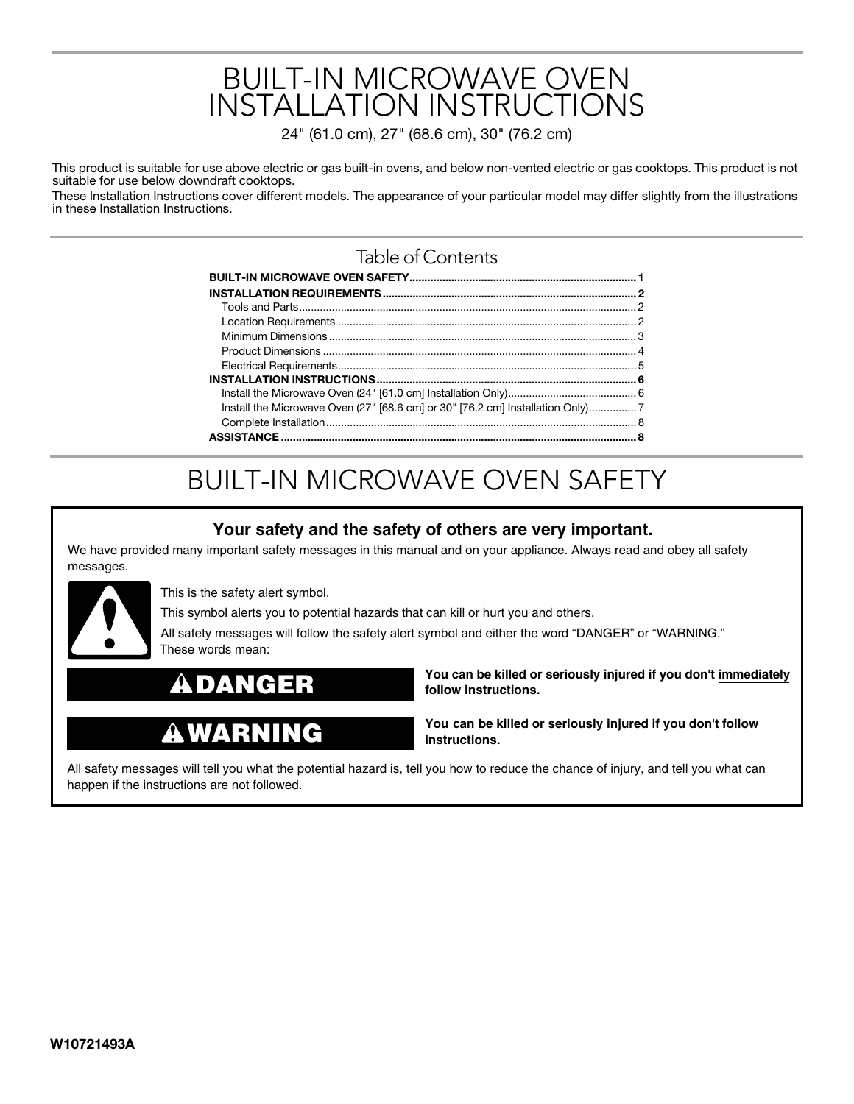# BUILT-IN MICROWAVE OVEN INSTALLATION INSTRUCTIONS

24" (61.0 cm), 27" (68.6 cm), 30" (76.2 cm)

This product is suitable for use above electric or gas built-in ovens, and below non-vented electric or gas cooktops. This product is not suitable for use below downdraft cooktops.

These Installation Instructions cover different models. The appearance of your particular model may differ slightly from the illustrations in these Installation Instructions.

### Table of Contents

| Install the Microwave Oven (27" [68.6 cm] or 30" [76.2 cm] Installation Only) |  |
|-------------------------------------------------------------------------------|--|
|                                                                               |  |
|                                                                               |  |

# BUILT-IN MICROWAVE OVEN SAFETY

### **Your safety and the safety of others are very important.**

We have provided many important safety messages in this manual and on your appliance. Always read and obey all safety messages.



This is the safety alert symbol.

This symbol alerts you to potential hazards that can kill or hurt you and others.

All safety messages will follow the safety alert symbol and either the word "DANGER" or "WARNING." These words mean:

### **DANGER**

# **WARNING**

**You can be killed or seriously injured if you don't immediately follow instructions.**

**You can be killed or seriously injured if you don't follow instructions.**

All safety messages will tell you what the potential hazard is, tell you how to reduce the chance of injury, and tell you what can happen if the instructions are not followed.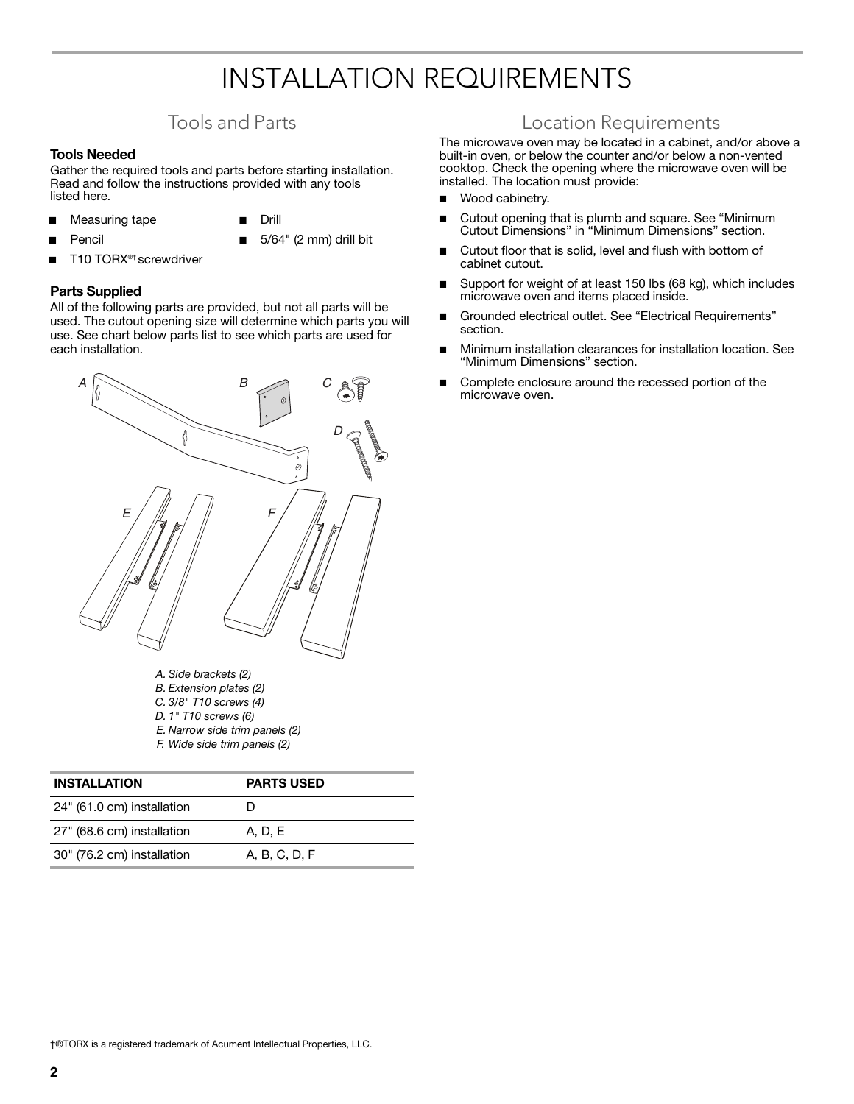# INSTALLATION REQUIREMENTS

### Tools and Parts

#### **Tools Needed**

Gather the required tools and parts before starting installation. Read and follow the instructions provided with any tools listed here.

- Measuring tape
- **Drill**

**Pencil** 

- 5/64" (2 mm) drill bit
- T10 TORX<sup>®†</sup> screwdriver

#### **Parts Supplied**

All of the following parts are provided, but not all parts will be used. The cutout opening size will determine which parts you will use. See chart below parts list to see which parts are used for each installation.



- *A. Side brackets (2)*
- *B. Extension plates (2)*
- *C. 3/8" T10 screws (4)*
- *D. 1" T10 screws (6)*
- *E. Narrow side trim panels (2)*
- *F. Wide side trim panels (2)*

| <b>INSTALLATION</b>        | <b>PARTS USED</b> |
|----------------------------|-------------------|
| 24" (61.0 cm) installation | Ð                 |
| 27" (68.6 cm) installation | A, D, E           |
| 30" (76.2 cm) installation | A, B, C, D, F     |

### Location Requirements

The microwave oven may be located in a cabinet, and/or above a built-in oven, or below the counter and/or below a non-vented cooktop. Check the opening where the microwave oven will be installed. The location must provide:

- Wood cabinetry.
- Cutout opening that is plumb and square. See "Minimum Cutout Dimensions" in "Minimum Dimensions" section.
- Cutout floor that is solid, level and flush with bottom of cabinet cutout.
- Support for weight of at least 150 lbs (68 kg), which includes microwave oven and items placed inside.
- Grounded electrical outlet. See "Electrical Requirements" section.
- Minimum installation clearances for installation location. See "Minimum Dimensions" section.
- Complete enclosure around the recessed portion of the microwave oven.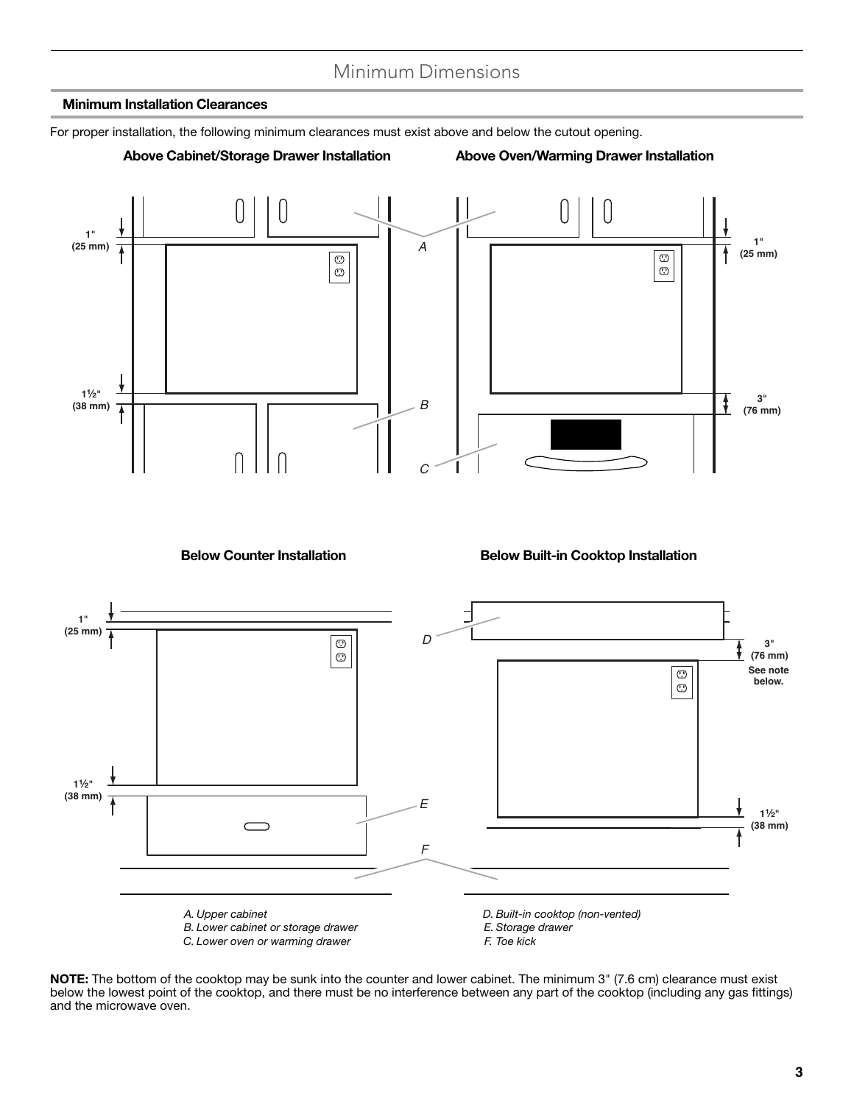### Minimum Dimensions

#### **Minimum Installation Clearances**

For proper installation, the following minimum clearances must exist above and below the cutout opening.

#### **Above Cabinet/Storage Drawer Installation Above Oven/Warming Drawer Installation**



**Below Counter Installation Below Built-in Cooktop Installation**



**NOTE:** The bottom of the cooktop may be sunk into the counter and lower cabinet. The minimum 3" (7.6 cm) clearance must exist below the lowest point of the cooktop, and there must be no interference between any part of the cooktop (including any gas fittings) and the microwave oven.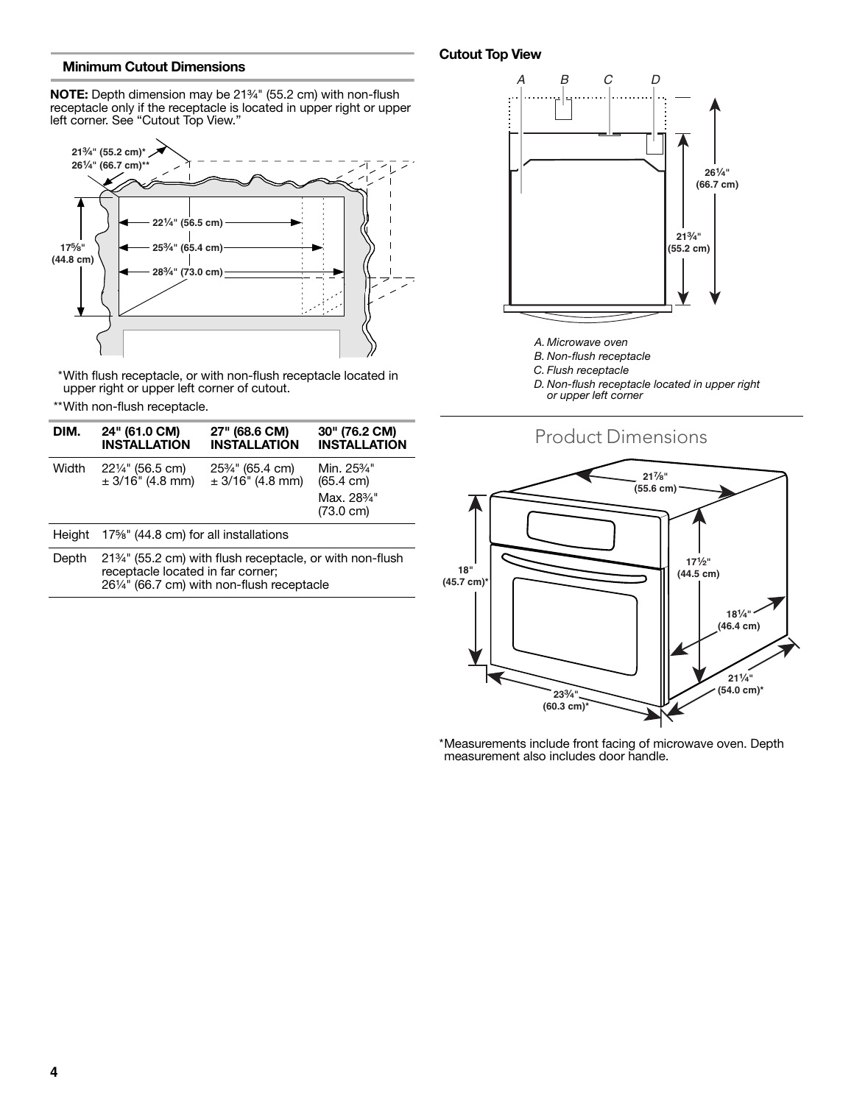#### **Minimum Cutout Dimensions**

**NOTE:** Depth dimension may be 21<sup>3</sup>/<sub>4</sub>" (55.2 cm) with non-flush receptacle only if the receptacle is located in upper right or upper left corner. See "Cutout Top View."



\*With flush receptacle, or with non-flush receptacle located in upper right or upper left corner of cutout.

\*\*With non-flush receptacle.

| DIM.   | 24" (61.0 CM)<br><b>INSTALLATION</b>                                                                                                                                   | 27" (68.6 CM)<br><b>INSTALLATION</b>                               | 30" (76.2 CM)<br><b>INSTALLATION</b>         |  |  |
|--------|------------------------------------------------------------------------------------------------------------------------------------------------------------------------|--------------------------------------------------------------------|----------------------------------------------|--|--|
| Width  | $22\frac{1}{4}$ " (56.5 cm)<br>$\pm$ 3/16" (4.8 mm)                                                                                                                    | 25 <sup>3</sup> / <sub>4</sub> " (65.4 cm)<br>$\pm$ 3/16" (4.8 mm) | Min. 25% <sup>"</sup><br>$(65.4 \text{ cm})$ |  |  |
|        |                                                                                                                                                                        |                                                                    | Max. 28%"<br>$(73.0 \text{ cm})$             |  |  |
| Height | 17%" (44.8 cm) for all installations                                                                                                                                   |                                                                    |                                              |  |  |
| Depth  | 21 <sup>3</sup> / <sub>4</sub> " (55.2 cm) with flush receptacle, or with non-flush<br>receptacle located in far corner;<br>261/4" (66.7 cm) with non-flush receptacle |                                                                    |                                              |  |  |

#### **Cutout Top View**



- *A. Microwave oven*
- *B. Non-flush receptacle*
- *C. Flush receptacle*
- *D. Non-flush receptacle located in upper right or upper left corner*



\*Measurements include front facing of microwave oven. Depth measurement also includes door handle.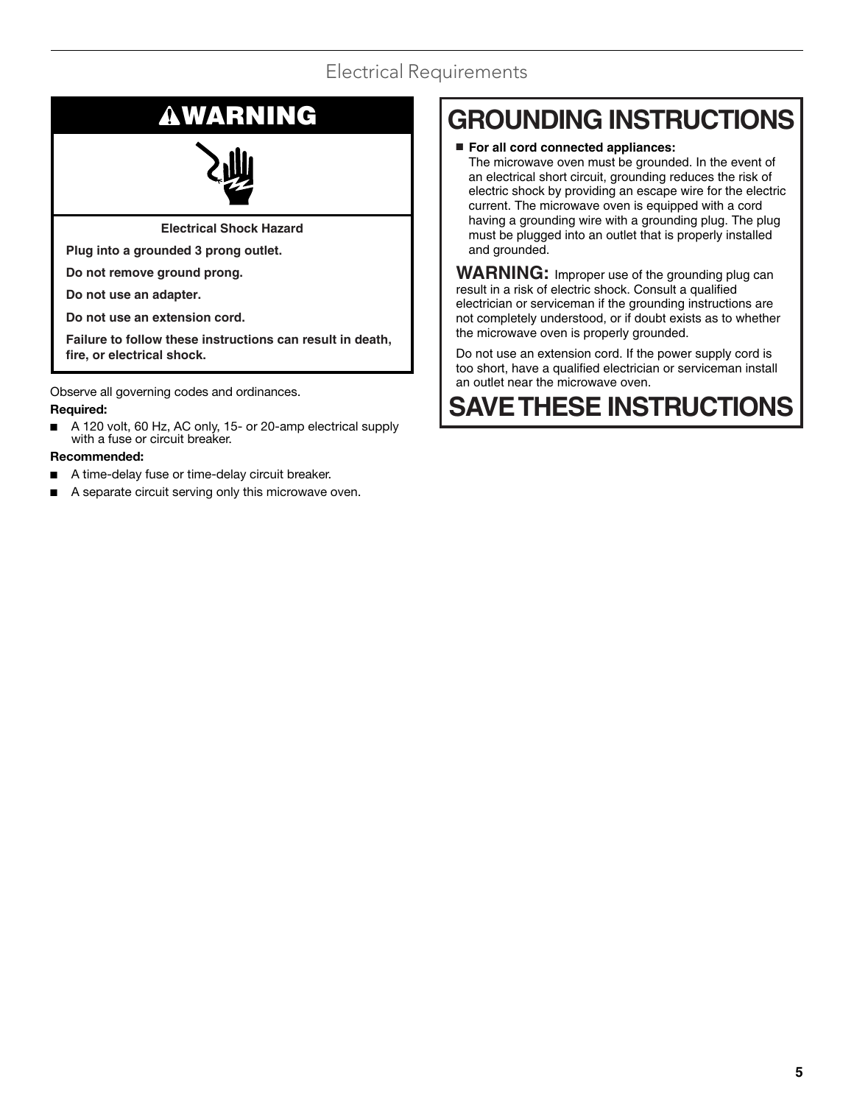### Electrical Requirements

**Electrical Shock Hazard**

**Plug into a grounded 3 prong outlet.**

**Do not remove ground prong.**

**Do not use an adapter.**

**Do not use an extension cord.**

**Failure to follow these instructions can result in death, fire, or electrical shock.**

Observe all governing codes and ordinances.

#### **Required:**

A 120 volt, 60 Hz, AC only, 15- or 20-amp electrical supply with a fuse or circuit breaker.

#### **Recommended:**

- A time-delay fuse or time-delay circuit breaker.
- A separate circuit serving only this microwave oven.

# **WARNING GROUNDING INSTRUCTIONS**

■ **For all cord connected appliances:** The microwave oven must be grounded. In the event of an electrical short circuit, grounding reduces the risk of electric shock by providing an escape wire for the electric current. The microwave oven is equipped with a cord having a grounding wire with a grounding plug. The plug must be plugged into an outlet that is properly installed and grounded.

**WARNING:** Improper use of the grounding plug can result in a risk of electric shock. Consult a qualified electrician or serviceman if the grounding instructions are not completely understood, or if doubt exists as to whether the microwave oven is properly grounded.

Do not use an extension cord. If the power supply cord is too short, have a qualified electrician or serviceman install an outlet near the microwave oven.

# **SAVE THESE INSTRUCTIONS**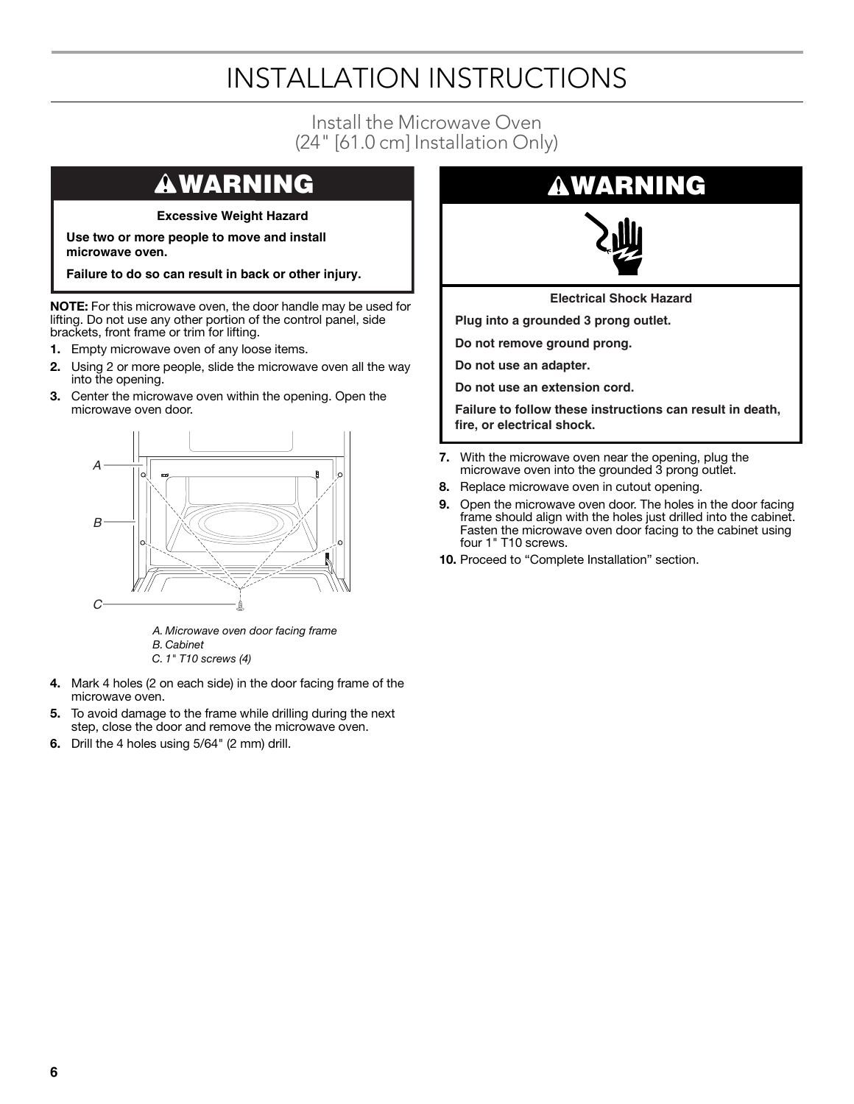# INSTALLATION INSTRUCTIONS

### Install the Microwave Oven (24" [61.0 cm] Installation Only)

### **WARNING**

#### **Excessive Weight Hazard**

**Use two or more people to move and install microwave oven.**

**Failure to do so can result in back or other injury.**

**NOTE:** For this microwave oven, the door handle may be used for lifting. Do not use any other portion of the control panel, side brackets, front frame or trim for lifting.

- **1.** Empty microwave oven of any loose items.
- **2.** Using 2 or more people, slide the microwave oven all the way into the opening.
- **3.** Center the microwave oven within the opening. Open the microwave oven door.



*A. Microwave oven door facing frame B. Cabinet C. 1" T10 screws (4)*

- **4.** Mark 4 holes (2 on each side) in the door facing frame of the microwave oven.
- **5.** To avoid damage to the frame while drilling during the next step, close the door and remove the microwave oven.
- **6.** Drill the 4 holes using 5/64" (2 mm) drill.

### **WARNING**



**Electrical Shock Hazard**

**Plug into a grounded 3 prong outlet.**

**Do not remove ground prong.**

**Do not use an adapter.**

**Do not use an extension cord.**

**Failure to follow these instructions can result in death, fire, or electrical shock.**

- **7.** With the microwave oven near the opening, plug the microwave oven into the grounded 3 prong outlet.
- **8.** Replace microwave oven in cutout opening.
- **9.** Open the microwave oven door. The holes in the door facing frame should align with the holes just drilled into the cabinet. Fasten the microwave oven door facing to the cabinet using four 1" T10 screws.
- **10.** Proceed to "Complete Installation" section.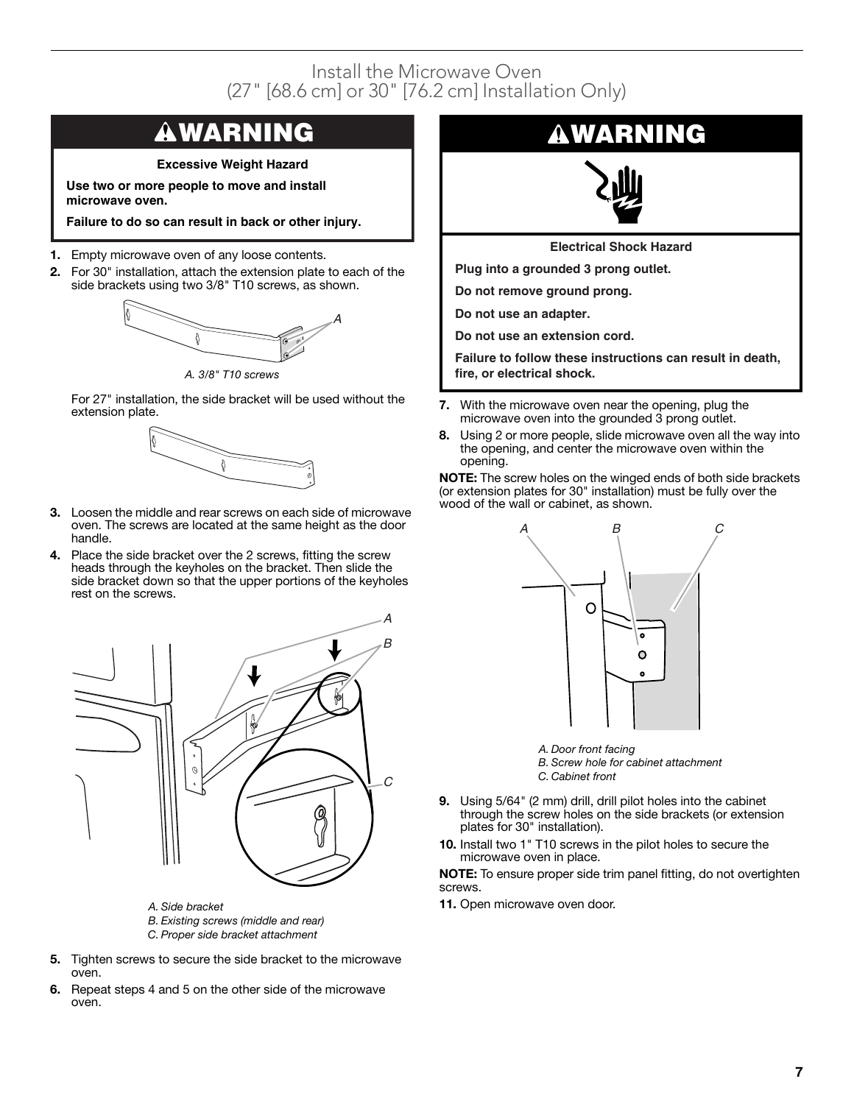### Install the Microwave Oven (27" [68.6 cm] or 30" [76.2 cm] Installation Only)

## **WARNING**

**Excessive Weight Hazard**

**Use two or more people to move and install microwave oven.**

**Failure to do so can result in back or other injury.**

- **1.** Empty microwave oven of any loose contents.
- **2.** For 30" installation, attach the extension plate to each of the side brackets using two 3/8" T10 screws, as shown.



*A. 3/8" T10 screws*

For 27" installation, the side bracket will be used without the extension plate.



- **3.** Loosen the middle and rear screws on each side of microwave oven. The screws are located at the same height as the door handle.
- **4.** Place the side bracket over the 2 screws, fitting the screw heads through the keyholes on the bracket. Then slide the side bracket down so that the upper portions of the keyholes rest on the screws.



- 
- *B. Existing screws (middle and rear)*
- *C. Proper side bracket attachment*
- **5.** Tighten screws to secure the side bracket to the microwave oven.
- **6.** Repeat steps 4 and 5 on the other side of the microwave oven.

### **WARNING**



**Electrical Shock Hazard**

**Plug into a grounded 3 prong outlet.**

**Do not remove ground prong.**

**Do not use an adapter.**

**Do not use an extension cord.**

**Failure to follow these instructions can result in death, fire, or electrical shock.**

- **7.** With the microwave oven near the opening, plug the microwave oven into the grounded 3 prong outlet.
- **8.** Using 2 or more people, slide microwave oven all the way into the opening, and center the microwave oven within the opening.

**NOTE:** The screw holes on the winged ends of both side brackets (or extension plates for 30" installation) must be fully over the wood of the wall or cabinet, as shown.



*A. Door front facing B. Screw hole for cabinet attachment*

- *C. Cabinet front*
- **9.** Using 5/64" (2 mm) drill, drill pilot holes into the cabinet through the screw holes on the side brackets (or extension plates for 30" installation).
- **10.** Install two 1" T10 screws in the pilot holes to secure the microwave oven in place.

**NOTE:** To ensure proper side trim panel fitting, do not overtighten screws.

*A. Side bracket* **11.** Open microwave oven door.